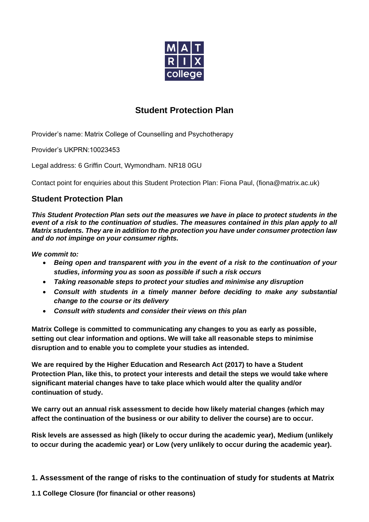

# **Student Protection Plan**

Provider's name: Matrix College of Counselling and Psychotherapy

Provider's UKPRN:10023453

Legal address: 6 Griffin Court, Wymondham. NR18 0GU

Contact point for enquiries about this Student Protection Plan: Fiona Paul, [\(fiona@matrix.ac.uk\)](mailto:fiona@matrix.ac.uk)

## **Student Protection Plan**

*This Student Protection Plan sets out the measures we have in place to protect students in the*  event of a risk to the continuation of studies. The measures contained in this plan apply to all *Matrix students. They are in addition to the protection you have under consumer protection law and do not impinge on your consumer rights.*

*We commit to:*

- *Being open and transparent with you in the event of a risk to the continuation of your studies, informing you as soon as possible if such a risk occurs*
- *Taking reasonable steps to protect your studies and minimise any disruption*
- *Consult with students in a timely manner before deciding to make any substantial change to the course or its delivery*
- *Consult with students and consider their views on this plan*

**Matrix College is committed to communicating any changes to you as early as possible, setting out clear information and options. We will take all reasonable steps to minimise disruption and to enable you to complete your studies as intended.**

**We are required by the Higher Education and Research Act (2017) to have a Student Protection Plan, like this, to protect your interests and detail the steps we would take where significant material changes have to take place which would alter the quality and/or continuation of study.**

**We carry out an annual risk assessment to decide how likely material changes (which may affect the continuation of the business or our ability to deliver the course) are to occur.** 

**Risk levels are assessed as high (likely to occur during the academic year), Medium (unlikely to occur during the academic year) or Low (very unlikely to occur during the academic year).**

- **1. Assessment of the range of risks to the continuation of study for students at Matrix**
- **1.1 College Closure (for financial or other reasons)**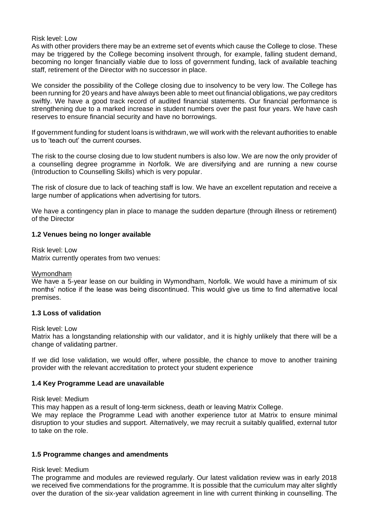#### Risk level: Low

As with other providers there may be an extreme set of events which cause the College to close. These may be triggered by the College becoming insolvent through, for example, falling student demand, becoming no longer financially viable due to loss of government funding, lack of available teaching staff, retirement of the Director with no successor in place.

We consider the possibility of the College closing due to insolvency to be very low. The College has been running for 20 years and have always been able to meet out financial obligations, we pay creditors swiftly. We have a good track record of audited financial statements. Our financial performance is strengthening due to a marked increase in student numbers over the past four years. We have cash reserves to ensure financial security and have no borrowings.

If government funding for student loans is withdrawn, we will work with the relevant authorities to enable us to 'teach out' the current courses.

The risk to the course closing due to low student numbers is also low. We are now the only provider of a counselling degree programme in Norfolk. We are diversifying and are running a new course (Introduction to Counselling Skills) which is very popular.

The risk of closure due to lack of teaching staff is low. We have an excellent reputation and receive a large number of applications when advertising for tutors.

We have a contingency plan in place to manage the sudden departure (through illness or retirement) of the Director

## **1.2 Venues being no longer available**

Risk level: Low Matrix currently operates from two venues:

#### Wymondham

We have a 5-year lease on our building in Wymondham, Norfolk. We would have a minimum of six months' notice if the lease was being discontinued. This would give us time to find alternative local premises.

## **1.3 Loss of validation**

#### Risk level: Low

Matrix has a longstanding relationship with our validator, and it is highly unlikely that there will be a change of validating partner.

If we did lose validation, we would offer, where possible, the chance to move to another training provider with the relevant accreditation to protect your student experience

#### **1.4 Key Programme Lead are unavailable**

#### Risk level: Medium

This may happen as a result of long-term sickness, death or leaving Matrix College.

We may replace the Programme Lead with another experience tutor at Matrix to ensure minimal disruption to your studies and support. Alternatively, we may recruit a suitably qualified, external tutor to take on the role.

#### **1.5 Programme changes and amendments**

## Risk level: Medium

The programme and modules are reviewed regularly. Our latest validation review was in early 2018 we received five commendations for the programme. It is possible that the curriculum may alter slightly over the duration of the six-year validation agreement in line with current thinking in counselling. The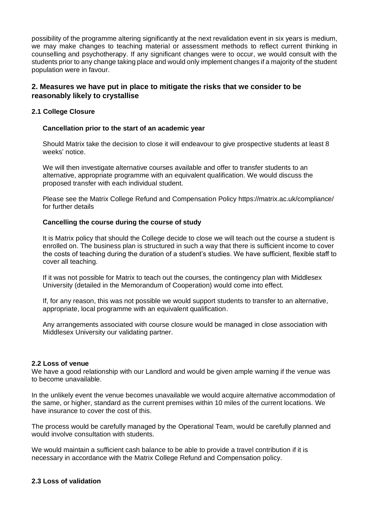possibility of the programme altering significantly at the next revalidation event in six years is medium, we may make changes to teaching material or assessment methods to reflect current thinking in counselling and psychotherapy. If any significant changes were to occur, we would consult with the students prior to any change taking place and would only implement changes if a majority of the student population were in favour.

## **2. Measures we have put in place to mitigate the risks that we consider to be reasonably likely to crystallise**

## **2.1 College Closure**

#### **Cancellation prior to the start of an academic year**

Should Matrix take the decision to close it will endeavour to give prospective students at least 8 weeks' notice.

We will then investigate alternative courses available and offer to transfer students to an alternative, appropriate programme with an equivalent qualification. We would discuss the proposed transfer with each individual student.

Please see the Matrix College Refund and Compensation Policy https://matrix.ac.uk/compliance/ for further details

#### **Cancelling the course during the course of study**

It is Matrix policy that should the College decide to close we will teach out the course a student is enrolled on. The business plan is structured in such a way that there is sufficient income to cover the costs of teaching during the duration of a student's studies. We have sufficient, flexible staff to cover all teaching.

If it was not possible for Matrix to teach out the courses, the contingency plan with Middlesex University (detailed in the Memorandum of Cooperation) would come into effect.

If, for any reason, this was not possible we would support students to transfer to an alternative, appropriate, local programme with an equivalent qualification.

Any arrangements associated with course closure would be managed in close association with Middlesex University our validating partner.

#### **2.2 Loss of venue**

We have a good relationship with our Landlord and would be given ample warning if the venue was to become unavailable.

In the unlikely event the venue becomes unavailable we would acquire alternative accommodation of the same, or higher, standard as the current premises within 10 miles of the current locations. We have insurance to cover the cost of this.

The process would be carefully managed by the Operational Team, would be carefully planned and would involve consultation with students.

We would maintain a sufficient cash balance to be able to provide a travel contribution if it is necessary in accordance with the Matrix College Refund and Compensation policy.

## **2.3 Loss of validation**